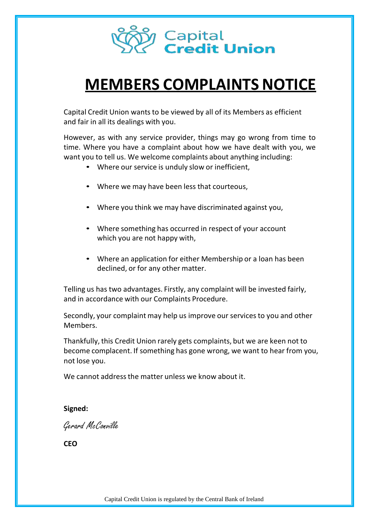

# **MEMBERS COMPLAINTS NOTICE**

Capital Credit Union wants to be viewed by all of its Members as efficient and fair in all its dealings with you.

However, as with any service provider, things may go wrong from time to time. Where you have a complaint about how we have dealt with you, we want you to tell us. We welcome complaints about anything including:

- Where our service is unduly slow or inefficient,
- Where we may have been less that courteous,
- Where you think we may have discriminated against you,
- Where something has occurred in respect of your account which you are not happy with,
- Where an application for either Membership or a loan has been declined, or for any other matter.

Telling us has two advantages. Firstly, any complaint will be invested fairly, and in accordance with our Complaints Procedure.

Secondly, your complaint may help us improve our services to you and other Members.

Thankfully, this Credit Union rarely gets complaints, but we are keen not to become complacent. If something has gone wrong, we want to hear from you, not lose you.

We cannot address the matter unless we know about it.

## **Signed:**

Gerard McConville

**CEO**